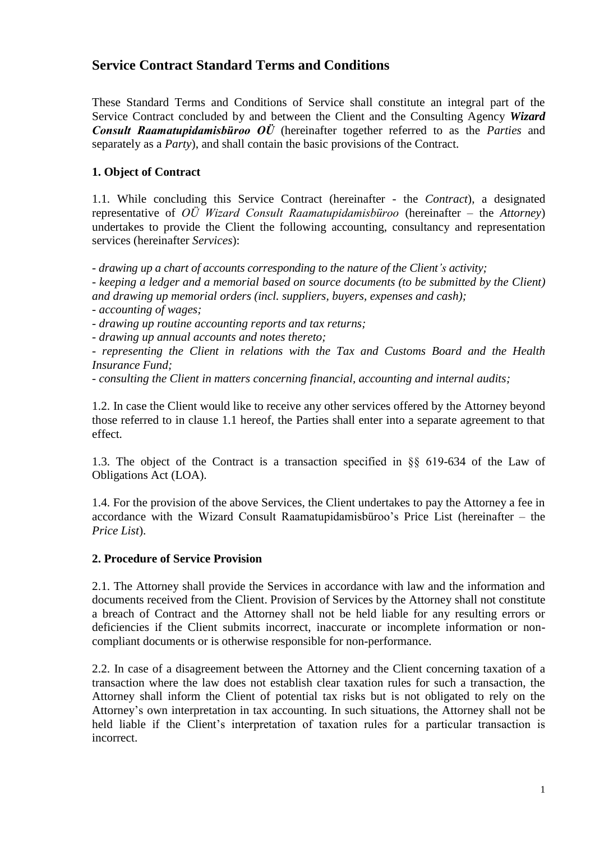# **Service Contract Standard Terms and Conditions**

These Standard Terms and Conditions of Service shall constitute an integral part of the Service Contract concluded by and between the Client and the Consulting Agency *Wizard Consult Raamatupidamisbüroo OÜ* (hereinafter together referred to as the *Parties* and separately as a *Party*), and shall contain the basic provisions of the Contract.

# **1. Object of Contract**

1.1. While concluding this Service Contract (hereinafter - the *Contract*), a designated representative of *OÜ Wizard Consult Raamatupidamisbüroo* (hereinafter – the *Attorney*) undertakes to provide the Client the following accounting, consultancy and representation services (hereinafter *Services*):

*- drawing up a chart of accounts corresponding to the nature of the Client's activity;*

*- keeping a ledger and a memorial based on source documents (to be submitted by the Client) and drawing up memorial orders (incl. suppliers, buyers, expenses and cash);*

*- accounting of wages;*

*- drawing up routine accounting reports and tax returns;*

*- drawing up annual accounts and notes thereto;*

*- representing the Client in relations with the Tax and Customs Board and the Health Insurance Fund;*

*- consulting the Client in matters concerning financial, accounting and internal audits;*

1.2. In case the Client would like to receive any other services offered by the Attorney beyond those referred to in clause 1.1 hereof, the Parties shall enter into a separate agreement to that effect.

1.3. The object of the Contract is a transaction specified in §§ 619-634 of the Law of Obligations Act (LOA).

1.4. For the provision of the above Services, the Client undertakes to pay the Attorney a fee in accordance with the Wizard Consult Raamatupidamisbüroo's Price List (hereinafter – the *Price List*).

#### **2. Procedure of Service Provision**

2.1. The Attorney shall provide the Services in accordance with law and the information and documents received from the Client. Provision of Services by the Attorney shall not constitute a breach of Contract and the Attorney shall not be held liable for any resulting errors or deficiencies if the Client submits incorrect, inaccurate or incomplete information or noncompliant documents or is otherwise responsible for non-performance.

2.2. In case of a disagreement between the Attorney and the Client concerning taxation of a transaction where the law does not establish clear taxation rules for such a transaction, the Attorney shall inform the Client of potential tax risks but is not obligated to rely on the Attorney's own interpretation in tax accounting. In such situations, the Attorney shall not be held liable if the Client's interpretation of taxation rules for a particular transaction is incorrect.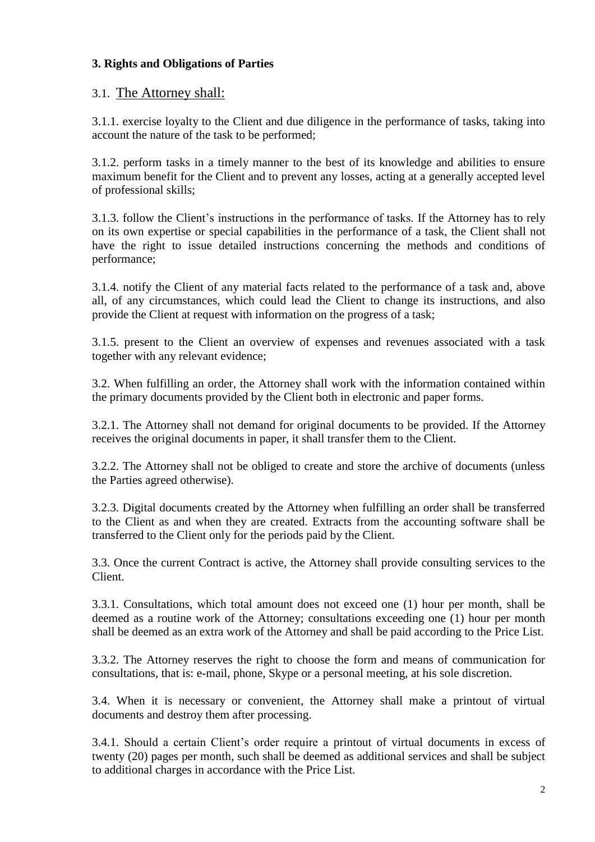### **3. Rights and Obligations of Parties**

## 3.1. The Attorney shall:

3.1.1. exercise loyalty to the Client and due diligence in the performance of tasks, taking into account the nature of the task to be performed;

3.1.2. perform tasks in a timely manner to the best of its knowledge and abilities to ensure maximum benefit for the Client and to prevent any losses, acting at a generally accepted level of professional skills;

3.1.3. follow the Client's instructions in the performance of tasks. If the Attorney has to rely on its own expertise or special capabilities in the performance of a task, the Client shall not have the right to issue detailed instructions concerning the methods and conditions of performance;

3.1.4. notify the Client of any material facts related to the performance of a task and, above all, of any circumstances, which could lead the Client to change its instructions, and also provide the Client at request with information on the progress of a task;

3.1.5. present to the Client an overview of expenses and revenues associated with a task together with any relevant evidence;

3.2. When fulfilling an order, the Attorney shall work with the information contained within the primary documents provided by the Client both in electronic and paper forms.

3.2.1. The Attorney shall not demand for original documents to be provided. If the Attorney receives the original documents in paper, it shall transfer them to the Client.

3.2.2. The Attorney shall not be obliged to create and store the archive of documents (unless the Parties agreed otherwise).

3.2.3. Digital documents created by the Attorney when fulfilling an order shall be transferred to the Client as and when they are created. Extracts from the accounting software shall be transferred to the Client only for the periods paid by the Client.

3.3. Once the current Contract is active, the Attorney shall provide consulting services to the Client.

3.3.1. Consultations, which total amount does not exceed one (1) hour per month, shall be deemed as a routine work of the Attorney; consultations exceeding one (1) hour per month shall be deemed as an extra work of the Attorney and shall be paid according to the Price List.

3.3.2. The Attorney reserves the right to choose the form and means of communication for consultations, that is: e-mail, phone, Skype or a personal meeting, at his sole discretion.

3.4. When it is necessary or convenient, the Attorney shall make a printout of virtual documents and destroy them after processing.

3.4.1. Should a certain Client's order require a printout of virtual documents in excess of twenty (20) pages per month, such shall be deemed as additional services and shall be subject to additional charges in accordance with the Price List.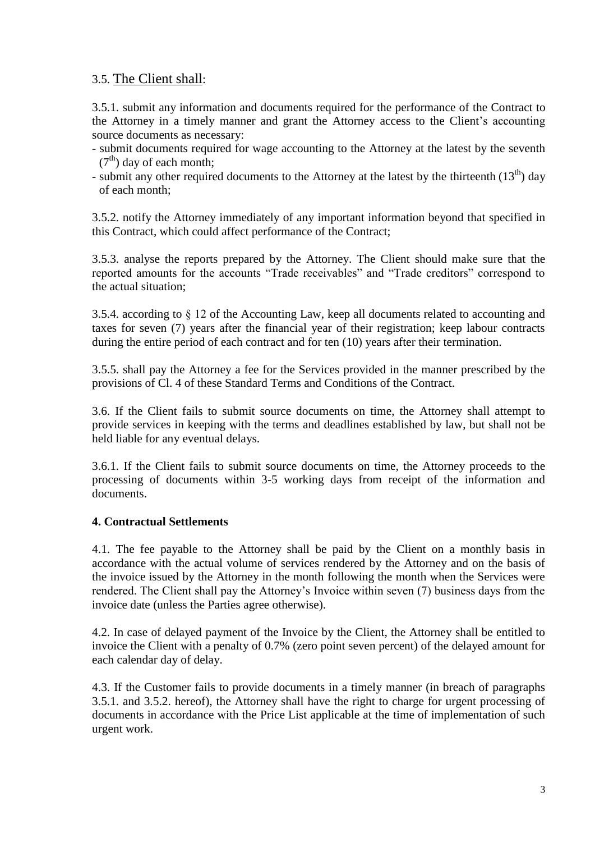# 3.5. The Client shall:

3.5.1. submit any information and documents required for the performance of the Contract to the Attorney in a timely manner and grant the Attorney access to the Client's accounting source documents as necessary:

- submit documents required for wage accounting to the Attorney at the latest by the seventh  $(7<sup>th</sup>)$  day of each month;
- submit any other required documents to the Attorney at the latest by the thirteenth  $(13<sup>th</sup>)$  day of each month;

3.5.2. notify the Attorney immediately of any important information beyond that specified in this Contract, which could affect performance of the Contract;

3.5.3. analyse the reports prepared by the Attorney. The Client should make sure that the reported amounts for the accounts "Trade receivables" and "Trade creditors" correspond to the actual situation;

3.5.4. according to § 12 of the Accounting Law, keep all documents related to accounting and taxes for seven (7) years after the financial year of their registration; keep labour contracts during the entire period of each contract and for ten (10) years after their termination.

3.5.5. shall pay the Attorney a fee for the Services provided in the manner prescribed by the provisions of Cl. 4 of these Standard Terms and Conditions of the Contract.

3.6. If the Client fails to submit source documents on time, the Attorney shall attempt to provide services in keeping with the terms and deadlines established by law, but shall not be held liable for any eventual delays.

3.6.1. If the Client fails to submit source documents on time, the Attorney proceeds to the processing of documents within 3-5 working days from receipt of the information and documents.

#### **4. Contractual Settlements**

4.1. The fee payable to the Attorney shall be paid by the Client on a monthly basis in accordance with the actual volume of services rendered by the Attorney and on the basis of the invoice issued by the Attorney in the month following the month when the Services were rendered. The Client shall pay the Attorney's Invoice within seven (7) business days from the invoice date (unless the Parties agree otherwise).

4.2. In case of delayed payment of the Invoice by the Client, the Attorney shall be entitled to invoice the Client with a penalty of 0.7% (zero point seven percent) of the delayed amount for each calendar day of delay.

4.3. If the Customer fails to provide documents in a timely manner (in breach of paragraphs 3.5.1. and 3.5.2. hereof), the Attorney shall have the right to charge for urgent processing of documents in accordance with the Price List applicable at the time of implementation of such urgent work.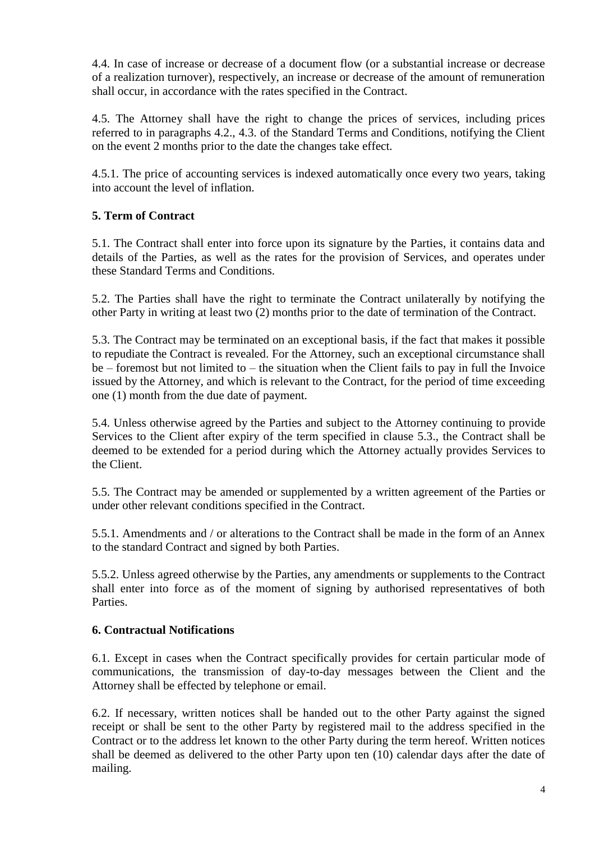4.4. In case of increase or decrease of a document flow (or a substantial increase or decrease of a realization turnover), respectively, an increase or decrease of the amount of remuneration shall occur, in accordance with the rates specified in the Contract.

4.5. The Attorney shall have the right to change the prices of services, including prices referred to in paragraphs 4.2., 4.3. of the Standard Terms and Conditions, notifying the Client on the event 2 months prior to the date the changes take effect.

4.5.1. The price of accounting services is indexed automatically once every two years, taking into account the level of inflation.

#### **5. Term of Contract**

5.1. The Contract shall enter into force upon its signature by the Parties, it contains data and details of the Parties, as well as the rates for the provision of Services, and operates under these Standard Terms and Conditions.

5.2. The Parties shall have the right to terminate the Contract unilaterally by notifying the other Party in writing at least two (2) months prior to the date of termination of the Contract.

5.3. The Contract may be terminated on an exceptional basis, if the fact that makes it possible to repudiate the Contract is revealed. For the Attorney, such an exceptional circumstance shall be – foremost but not limited to – the situation when the Client fails to pay in full the Invoice issued by the Attorney, and which is relevant to the Contract, for the period of time exceeding one (1) month from the due date of payment.

5.4. Unless otherwise agreed by the Parties and subject to the Attorney continuing to provide Services to the Client after expiry of the term specified in clause 5.3., the Contract shall be deemed to be extended for a period during which the Attorney actually provides Services to the Client.

5.5. The Contract may be amended or supplemented by a written agreement of the Parties or under other relevant conditions specified in the Contract.

5.5.1. Amendments and / or alterations to the Contract shall be made in the form of an Annex to the standard Contract and signed by both Parties.

5.5.2. Unless agreed otherwise by the Parties, any amendments or supplements to the Contract shall enter into force as of the moment of signing by authorised representatives of both **Parties** 

#### **6. Contractual Notifications**

6.1. Except in cases when the Contract specifically provides for certain particular mode of communications, the transmission of day-to-day messages between the Client and the Attorney shall be effected by telephone or email.

6.2. If necessary, written notices shall be handed out to the other Party against the signed receipt or shall be sent to the other Party by registered mail to the address specified in the Contract or to the address let known to the other Party during the term hereof. Written notices shall be deemed as delivered to the other Party upon ten (10) calendar days after the date of mailing.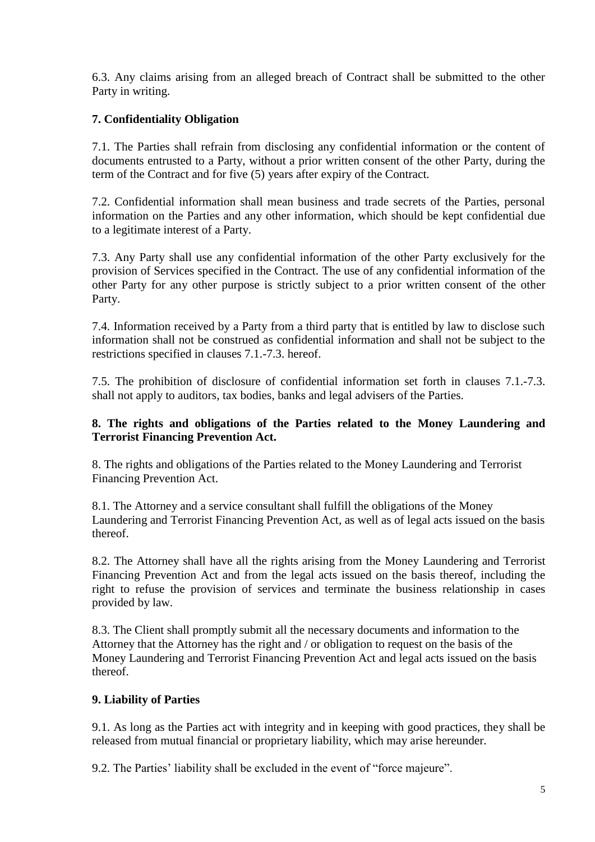6.3. Any claims arising from an alleged breach of Contract shall be submitted to the other Party in writing.

### **7. Confidentiality Obligation**

7.1. The Parties shall refrain from disclosing any confidential information or the content of documents entrusted to a Party, without a prior written consent of the other Party, during the term of the Contract and for five (5) years after expiry of the Contract.

7.2. Confidential information shall mean business and trade secrets of the Parties, personal information on the Parties and any other information, which should be kept confidential due to a legitimate interest of a Party.

7.3. Any Party shall use any confidential information of the other Party exclusively for the provision of Services specified in the Contract. The use of any confidential information of the other Party for any other purpose is strictly subject to a prior written consent of the other Party.

7.4. Information received by a Party from a third party that is entitled by law to disclose such information shall not be construed as confidential information and shall not be subject to the restrictions specified in clauses 7.1.-7.3. hereof.

7.5. The prohibition of disclosure of confidential information set forth in clauses 7.1.-7.3. shall not apply to auditors, tax bodies, banks and legal advisers of the Parties.

#### **8. The rights and obligations of the Parties related to the Money Laundering and Terrorist Financing Prevention Act.**

8. The rights and obligations of the Parties related to the Money Laundering and Terrorist Financing Prevention Act.

8.1. The Attorney and a service consultant shall fulfill the obligations of the Money Laundering and Terrorist Financing Prevention Act, as well as of legal acts issued on the basis thereof.

8.2. The Attorney shall have all the rights arising from the Money Laundering and Terrorist Financing Prevention Act and from the legal acts issued on the basis thereof, including the right to refuse the provision of services and terminate the business relationship in cases provided by law.

8.3. The Client shall promptly submit all the necessary documents and information to the Attorney that the Attorney has the right and / or obligation to request on the basis of the Money Laundering and Terrorist Financing Prevention Act and legal acts issued on the basis thereof.

#### **9. Liability of Parties**

9.1. As long as the Parties act with integrity and in keeping with good practices, they shall be released from mutual financial or proprietary liability, which may arise hereunder.

9.2. The Parties' liability shall be excluded in the event of "force majeure".